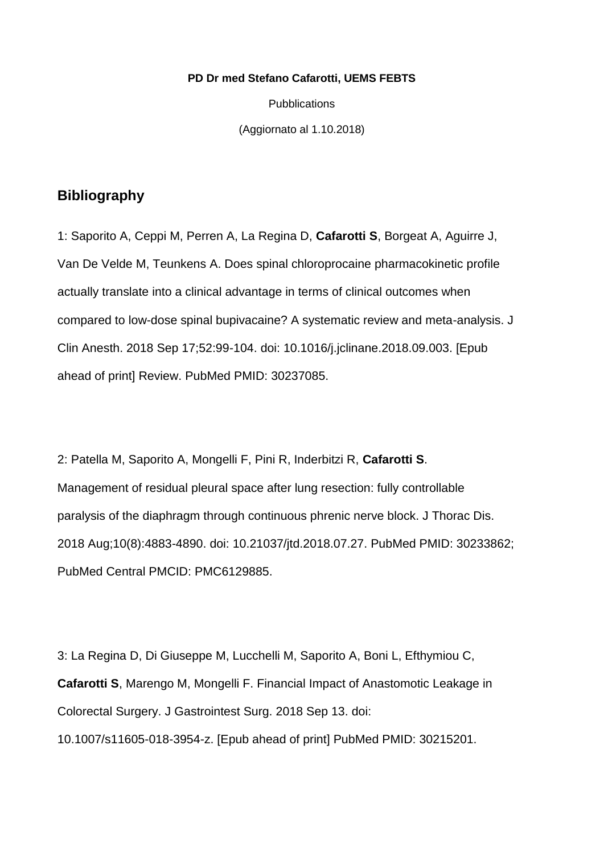#### **PD Dr med Stefano Cafarotti, UEMS FEBTS**

**Pubblications** 

(Aggiornato al 1.10.2018)

### **Bibliography**

1: Saporito A, Ceppi M, Perren A, La Regina D, **Cafarotti S**, Borgeat A, Aguirre J, Van De Velde M, Teunkens A. Does spinal chloroprocaine pharmacokinetic profile actually translate into a clinical advantage in terms of clinical outcomes when compared to low-dose spinal bupivacaine? A systematic review and meta-analysis. J Clin Anesth. 2018 Sep 17;52:99-104. doi: 10.1016/j.jclinane.2018.09.003. [Epub ahead of print] Review. PubMed PMID: 30237085.

2: Patella M, Saporito A, Mongelli F, Pini R, Inderbitzi R, **Cafarotti S**. Management of residual pleural space after lung resection: fully controllable paralysis of the diaphragm through continuous phrenic nerve block. J Thorac Dis. 2018 Aug;10(8):4883-4890. doi: 10.21037/jtd.2018.07.27. PubMed PMID: 30233862; PubMed Central PMCID: PMC6129885.

3: La Regina D, Di Giuseppe M, Lucchelli M, Saporito A, Boni L, Efthymiou C, **Cafarotti S**, Marengo M, Mongelli F. Financial Impact of Anastomotic Leakage in Colorectal Surgery. J Gastrointest Surg. 2018 Sep 13. doi: 10.1007/s11605-018-3954-z. [Epub ahead of print] PubMed PMID: 30215201.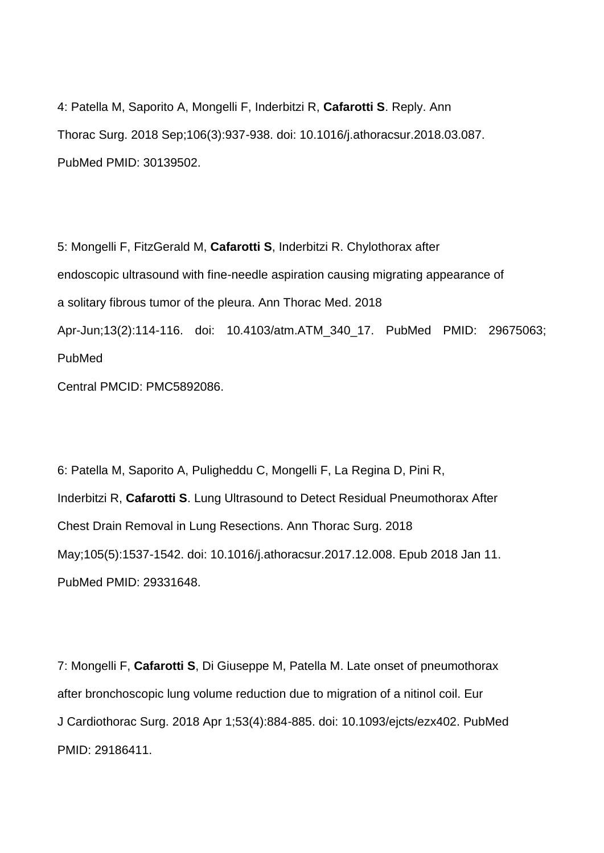4: Patella M, Saporito A, Mongelli F, Inderbitzi R, **Cafarotti S**. Reply. Ann Thorac Surg. 2018 Sep;106(3):937-938. doi: 10.1016/j.athoracsur.2018.03.087. PubMed PMID: 30139502.

5: Mongelli F, FitzGerald M, **Cafarotti S**, Inderbitzi R. Chylothorax after endoscopic ultrasound with fine-needle aspiration causing migrating appearance of a solitary fibrous tumor of the pleura. Ann Thorac Med. 2018 Apr-Jun;13(2):114-116. doi: 10.4103/atm.ATM\_340\_17. PubMed PMID: 29675063; PubMed Central PMCID: PMC5892086.

6: Patella M, Saporito A, Puligheddu C, Mongelli F, La Regina D, Pini R, Inderbitzi R, **Cafarotti S**. Lung Ultrasound to Detect Residual Pneumothorax After Chest Drain Removal in Lung Resections. Ann Thorac Surg. 2018 May;105(5):1537-1542. doi: 10.1016/j.athoracsur.2017.12.008. Epub 2018 Jan 11.

PubMed PMID: 29331648.

7: Mongelli F, **Cafarotti S**, Di Giuseppe M, Patella M. Late onset of pneumothorax after bronchoscopic lung volume reduction due to migration of a nitinol coil. Eur J Cardiothorac Surg. 2018 Apr 1;53(4):884-885. doi: 10.1093/ejcts/ezx402. PubMed PMID: 29186411.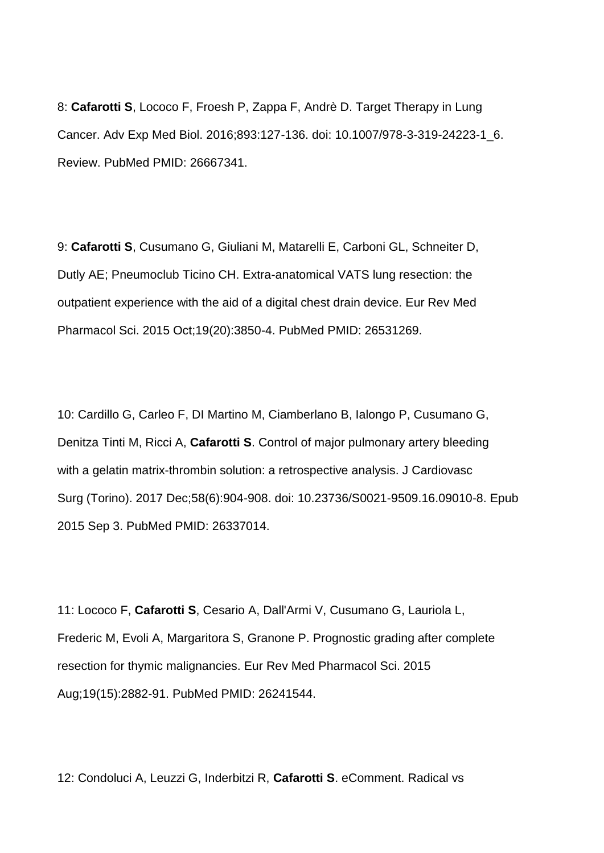8: **Cafarotti S**, Lococo F, Froesh P, Zappa F, Andrè D. Target Therapy in Lung Cancer. Adv Exp Med Biol. 2016;893:127-136. doi: 10.1007/978-3-319-24223-1\_6. Review. PubMed PMID: 26667341.

9: **Cafarotti S**, Cusumano G, Giuliani M, Matarelli E, Carboni GL, Schneiter D, Dutly AE; Pneumoclub Ticino CH. Extra-anatomical VATS lung resection: the outpatient experience with the aid of a digital chest drain device. Eur Rev Med Pharmacol Sci. 2015 Oct;19(20):3850-4. PubMed PMID: 26531269.

10: Cardillo G, Carleo F, DI Martino M, Ciamberlano B, Ialongo P, Cusumano G, Denitza Tinti M, Ricci A, **Cafarotti S**. Control of major pulmonary artery bleeding with a gelatin matrix-thrombin solution: a retrospective analysis. J Cardiovasc Surg (Torino). 2017 Dec;58(6):904-908. doi: 10.23736/S0021-9509.16.09010-8. Epub 2015 Sep 3. PubMed PMID: 26337014.

11: Lococo F, **Cafarotti S**, Cesario A, Dall'Armi V, Cusumano G, Lauriola L, Frederic M, Evoli A, Margaritora S, Granone P. Prognostic grading after complete resection for thymic malignancies. Eur Rev Med Pharmacol Sci. 2015 Aug;19(15):2882-91. PubMed PMID: 26241544.

12: Condoluci A, Leuzzi G, Inderbitzi R, **Cafarotti S**. eComment. Radical vs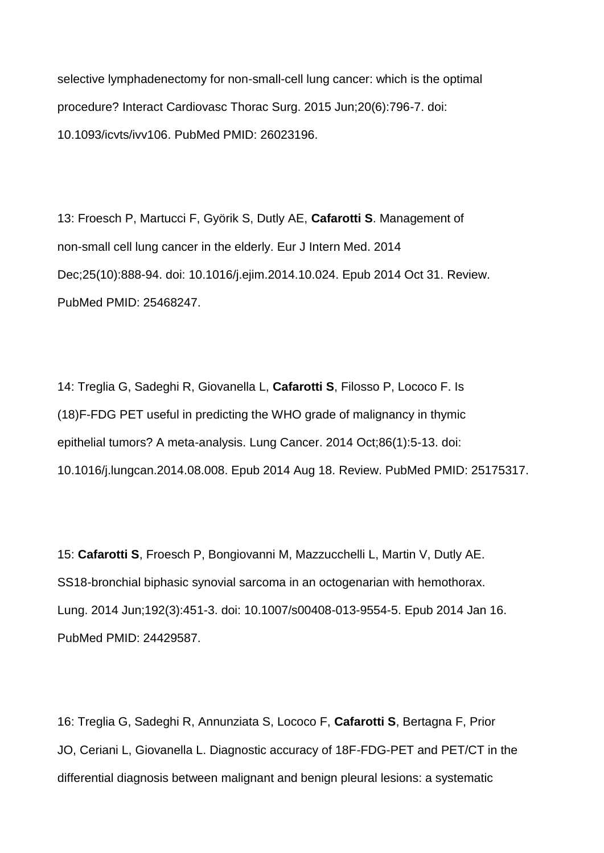selective lymphadenectomy for non-small-cell lung cancer: which is the optimal procedure? Interact Cardiovasc Thorac Surg. 2015 Jun;20(6):796-7. doi: 10.1093/icvts/ivv106. PubMed PMID: 26023196.

13: Froesch P, Martucci F, Györik S, Dutly AE, **Cafarotti S**. Management of non-small cell lung cancer in the elderly. Eur J Intern Med. 2014 Dec;25(10):888-94. doi: 10.1016/j.ejim.2014.10.024. Epub 2014 Oct 31. Review. PubMed PMID: 25468247.

14: Treglia G, Sadeghi R, Giovanella L, **Cafarotti S**, Filosso P, Lococo F. Is (18)F-FDG PET useful in predicting the WHO grade of malignancy in thymic epithelial tumors? A meta-analysis. Lung Cancer. 2014 Oct;86(1):5-13. doi: 10.1016/j.lungcan.2014.08.008. Epub 2014 Aug 18. Review. PubMed PMID: 25175317.

15: **Cafarotti S**, Froesch P, Bongiovanni M, Mazzucchelli L, Martin V, Dutly AE. SS18-bronchial biphasic synovial sarcoma in an octogenarian with hemothorax. Lung. 2014 Jun;192(3):451-3. doi: 10.1007/s00408-013-9554-5. Epub 2014 Jan 16. PubMed PMID: 24429587.

16: Treglia G, Sadeghi R, Annunziata S, Lococo F, **Cafarotti S**, Bertagna F, Prior JO, Ceriani L, Giovanella L. Diagnostic accuracy of 18F-FDG-PET and PET/CT in the differential diagnosis between malignant and benign pleural lesions: a systematic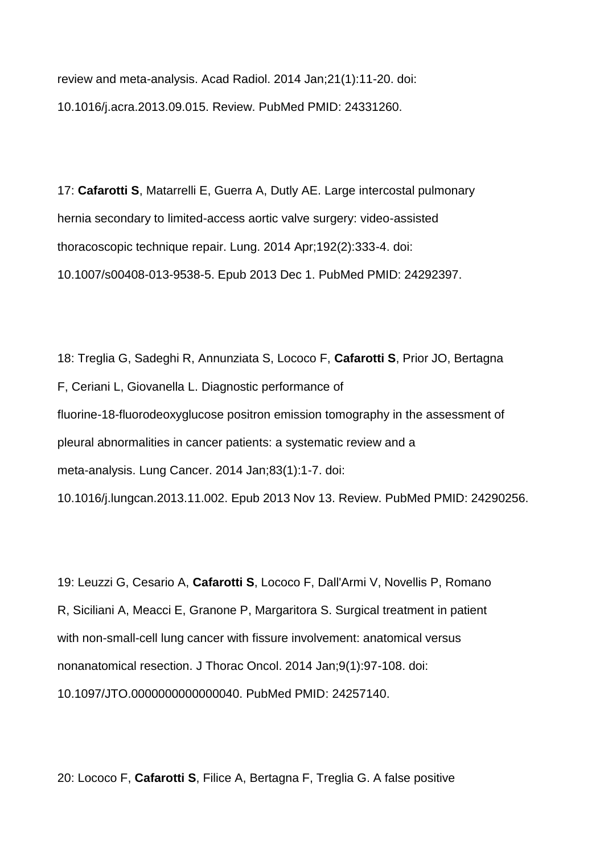review and meta-analysis. Acad Radiol. 2014 Jan;21(1):11-20. doi: 10.1016/j.acra.2013.09.015. Review. PubMed PMID: 24331260.

17: **Cafarotti S**, Matarrelli E, Guerra A, Dutly AE. Large intercostal pulmonary hernia secondary to limited-access aortic valve surgery: video-assisted thoracoscopic technique repair. Lung. 2014 Apr;192(2):333-4. doi: 10.1007/s00408-013-9538-5. Epub 2013 Dec 1. PubMed PMID: 24292397.

18: Treglia G, Sadeghi R, Annunziata S, Lococo F, **Cafarotti S**, Prior JO, Bertagna F, Ceriani L, Giovanella L. Diagnostic performance of fluorine-18-fluorodeoxyglucose positron emission tomography in the assessment of pleural abnormalities in cancer patients: a systematic review and a meta-analysis. Lung Cancer. 2014 Jan;83(1):1-7. doi: 10.1016/j.lungcan.2013.11.002. Epub 2013 Nov 13. Review. PubMed PMID: 24290256.

19: Leuzzi G, Cesario A, **Cafarotti S**, Lococo F, Dall'Armi V, Novellis P, Romano R, Siciliani A, Meacci E, Granone P, Margaritora S. Surgical treatment in patient with non-small-cell lung cancer with fissure involvement: anatomical versus nonanatomical resection. J Thorac Oncol. 2014 Jan;9(1):97-108. doi: 10.1097/JTO.0000000000000040. PubMed PMID: 24257140.

20: Lococo F, **Cafarotti S**, Filice A, Bertagna F, Treglia G. A false positive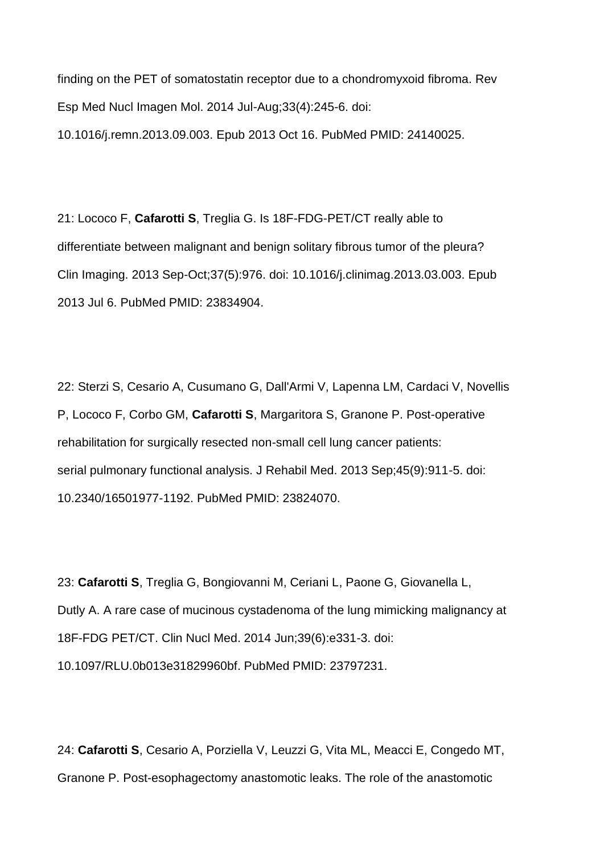finding on the PET of somatostatin receptor due to a chondromyxoid fibroma. Rev Esp Med Nucl Imagen Mol. 2014 Jul-Aug;33(4):245-6. doi: 10.1016/j.remn.2013.09.003. Epub 2013 Oct 16. PubMed PMID: 24140025.

21: Lococo F, **Cafarotti S**, Treglia G. Is 18F-FDG-PET/CT really able to differentiate between malignant and benign solitary fibrous tumor of the pleura? Clin Imaging. 2013 Sep-Oct;37(5):976. doi: 10.1016/j.clinimag.2013.03.003. Epub 2013 Jul 6. PubMed PMID: 23834904.

22: Sterzi S, Cesario A, Cusumano G, Dall'Armi V, Lapenna LM, Cardaci V, Novellis P, Lococo F, Corbo GM, **Cafarotti S**, Margaritora S, Granone P. Post-operative rehabilitation for surgically resected non-small cell lung cancer patients: serial pulmonary functional analysis. J Rehabil Med. 2013 Sep;45(9):911-5. doi: 10.2340/16501977-1192. PubMed PMID: 23824070.

23: **Cafarotti S**, Treglia G, Bongiovanni M, Ceriani L, Paone G, Giovanella L, Dutly A. A rare case of mucinous cystadenoma of the lung mimicking malignancy at 18F-FDG PET/CT. Clin Nucl Med. 2014 Jun;39(6):e331-3. doi: 10.1097/RLU.0b013e31829960bf. PubMed PMID: 23797231.

24: **Cafarotti S**, Cesario A, Porziella V, Leuzzi G, Vita ML, Meacci E, Congedo MT, Granone P. Post-esophagectomy anastomotic leaks. The role of the anastomotic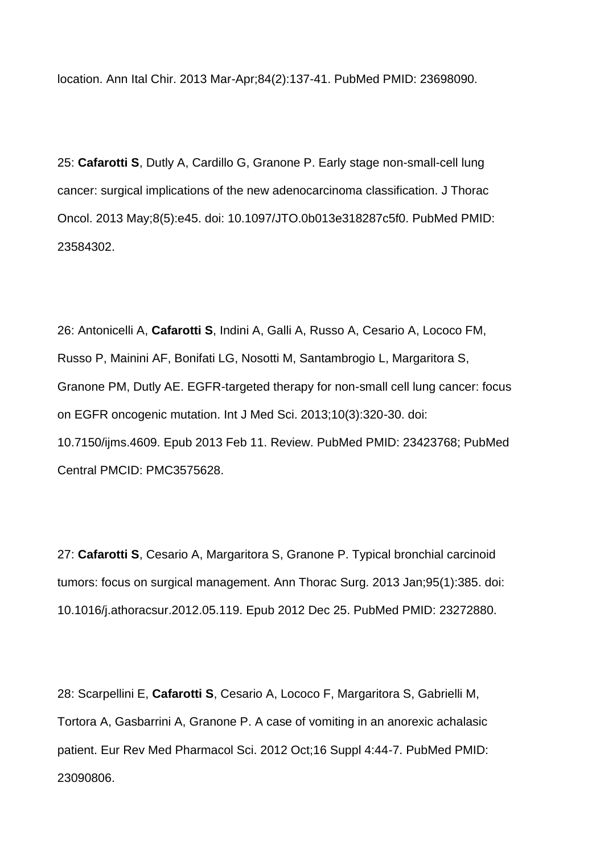location. Ann Ital Chir. 2013 Mar-Apr;84(2):137-41. PubMed PMID: 23698090.

25: **Cafarotti S**, Dutly A, Cardillo G, Granone P. Early stage non-small-cell lung cancer: surgical implications of the new adenocarcinoma classification. J Thorac Oncol. 2013 May;8(5):e45. doi: 10.1097/JTO.0b013e318287c5f0. PubMed PMID: 23584302.

26: Antonicelli A, **Cafarotti S**, Indini A, Galli A, Russo A, Cesario A, Lococo FM, Russo P, Mainini AF, Bonifati LG, Nosotti M, Santambrogio L, Margaritora S, Granone PM, Dutly AE. EGFR-targeted therapy for non-small cell lung cancer: focus on EGFR oncogenic mutation. Int J Med Sci. 2013;10(3):320-30. doi: 10.7150/ijms.4609. Epub 2013 Feb 11. Review. PubMed PMID: 23423768; PubMed Central PMCID: PMC3575628.

27: **Cafarotti S**, Cesario A, Margaritora S, Granone P. Typical bronchial carcinoid tumors: focus on surgical management. Ann Thorac Surg. 2013 Jan;95(1):385. doi: 10.1016/j.athoracsur.2012.05.119. Epub 2012 Dec 25. PubMed PMID: 23272880.

28: Scarpellini E, **Cafarotti S**, Cesario A, Lococo F, Margaritora S, Gabrielli M, Tortora A, Gasbarrini A, Granone P. A case of vomiting in an anorexic achalasic patient. Eur Rev Med Pharmacol Sci. 2012 Oct;16 Suppl 4:44-7. PubMed PMID: 23090806.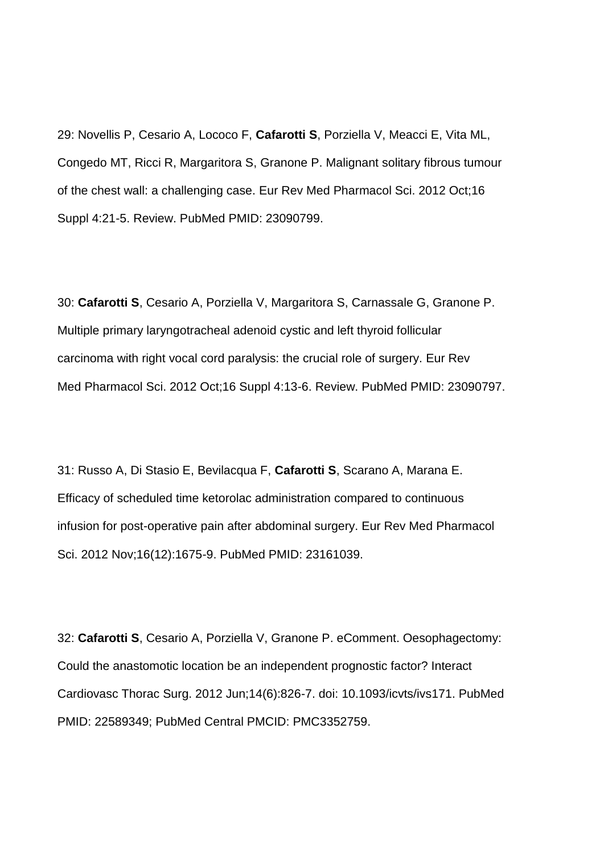29: Novellis P, Cesario A, Lococo F, **Cafarotti S**, Porziella V, Meacci E, Vita ML, Congedo MT, Ricci R, Margaritora S, Granone P. Malignant solitary fibrous tumour of the chest wall: a challenging case. Eur Rev Med Pharmacol Sci. 2012 Oct;16 Suppl 4:21-5. Review. PubMed PMID: 23090799.

30: **Cafarotti S**, Cesario A, Porziella V, Margaritora S, Carnassale G, Granone P. Multiple primary laryngotracheal adenoid cystic and left thyroid follicular carcinoma with right vocal cord paralysis: the crucial role of surgery. Eur Rev Med Pharmacol Sci. 2012 Oct;16 Suppl 4:13-6. Review. PubMed PMID: 23090797.

31: Russo A, Di Stasio E, Bevilacqua F, **Cafarotti S**, Scarano A, Marana E. Efficacy of scheduled time ketorolac administration compared to continuous infusion for post-operative pain after abdominal surgery. Eur Rev Med Pharmacol Sci. 2012 Nov;16(12):1675-9. PubMed PMID: 23161039.

32: **Cafarotti S**, Cesario A, Porziella V, Granone P. eComment. Oesophagectomy: Could the anastomotic location be an independent prognostic factor? Interact Cardiovasc Thorac Surg. 2012 Jun;14(6):826-7. doi: 10.1093/icvts/ivs171. PubMed PMID: 22589349; PubMed Central PMCID: PMC3352759.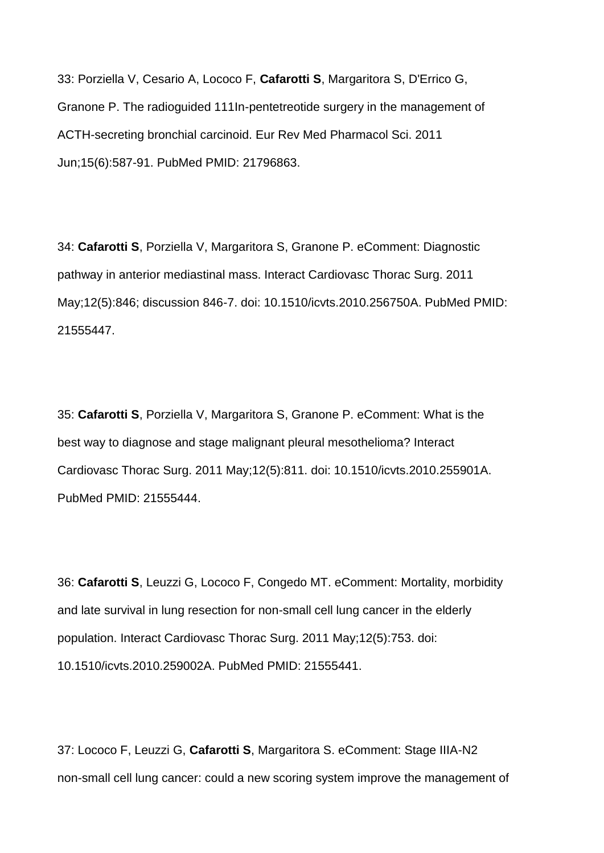33: Porziella V, Cesario A, Lococo F, **Cafarotti S**, Margaritora S, D'Errico G, Granone P. The radioguided 111In-pentetreotide surgery in the management of ACTH-secreting bronchial carcinoid. Eur Rev Med Pharmacol Sci. 2011 Jun;15(6):587-91. PubMed PMID: 21796863.

34: **Cafarotti S**, Porziella V, Margaritora S, Granone P. eComment: Diagnostic pathway in anterior mediastinal mass. Interact Cardiovasc Thorac Surg. 2011 May;12(5):846; discussion 846-7. doi: 10.1510/icvts.2010.256750A. PubMed PMID: 21555447.

35: **Cafarotti S**, Porziella V, Margaritora S, Granone P. eComment: What is the best way to diagnose and stage malignant pleural mesothelioma? Interact Cardiovasc Thorac Surg. 2011 May;12(5):811. doi: 10.1510/icvts.2010.255901A. PubMed PMID: 21555444.

36: **Cafarotti S**, Leuzzi G, Lococo F, Congedo MT. eComment: Mortality, morbidity and late survival in lung resection for non-small cell lung cancer in the elderly population. Interact Cardiovasc Thorac Surg. 2011 May;12(5):753. doi: 10.1510/icvts.2010.259002A. PubMed PMID: 21555441.

37: Lococo F, Leuzzi G, **Cafarotti S**, Margaritora S. eComment: Stage IIIA-N2 non-small cell lung cancer: could a new scoring system improve the management of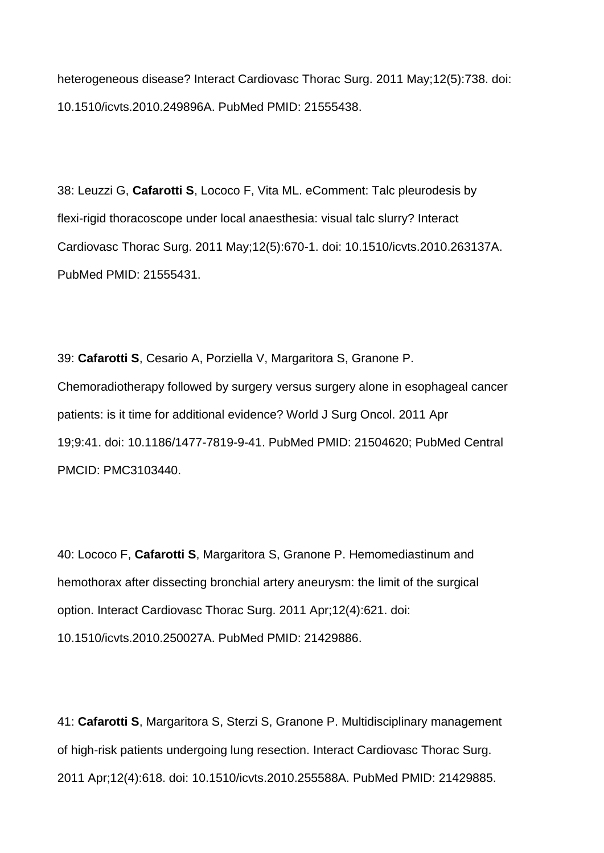heterogeneous disease? Interact Cardiovasc Thorac Surg. 2011 May;12(5):738. doi: 10.1510/icvts.2010.249896A. PubMed PMID: 21555438.

38: Leuzzi G, **Cafarotti S**, Lococo F, Vita ML. eComment: Talc pleurodesis by flexi-rigid thoracoscope under local anaesthesia: visual talc slurry? Interact Cardiovasc Thorac Surg. 2011 May;12(5):670-1. doi: 10.1510/icvts.2010.263137A. PubMed PMID: 21555431.

39: **Cafarotti S**, Cesario A, Porziella V, Margaritora S, Granone P. Chemoradiotherapy followed by surgery versus surgery alone in esophageal cancer patients: is it time for additional evidence? World J Surg Oncol. 2011 Apr 19;9:41. doi: 10.1186/1477-7819-9-41. PubMed PMID: 21504620; PubMed Central PMCID: PMC3103440.

40: Lococo F, **Cafarotti S**, Margaritora S, Granone P. Hemomediastinum and hemothorax after dissecting bronchial artery aneurysm: the limit of the surgical option. Interact Cardiovasc Thorac Surg. 2011 Apr;12(4):621. doi: 10.1510/icvts.2010.250027A. PubMed PMID: 21429886.

41: **Cafarotti S**, Margaritora S, Sterzi S, Granone P. Multidisciplinary management of high-risk patients undergoing lung resection. Interact Cardiovasc Thorac Surg. 2011 Apr;12(4):618. doi: 10.1510/icvts.2010.255588A. PubMed PMID: 21429885.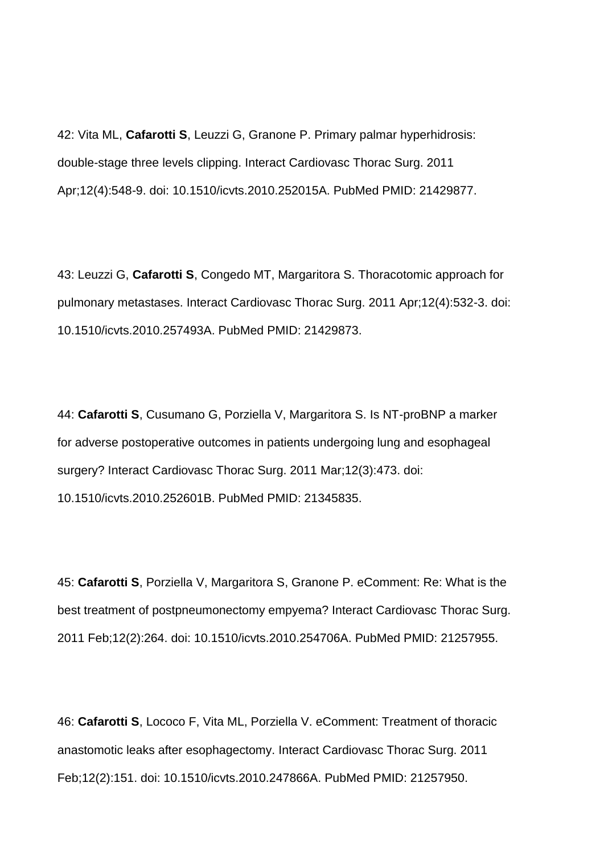42: Vita ML, **Cafarotti S**, Leuzzi G, Granone P. Primary palmar hyperhidrosis: double-stage three levels clipping. Interact Cardiovasc Thorac Surg. 2011 Apr;12(4):548-9. doi: 10.1510/icvts.2010.252015A. PubMed PMID: 21429877.

43: Leuzzi G, **Cafarotti S**, Congedo MT, Margaritora S. Thoracotomic approach for pulmonary metastases. Interact Cardiovasc Thorac Surg. 2011 Apr;12(4):532-3. doi: 10.1510/icvts.2010.257493A. PubMed PMID: 21429873.

44: **Cafarotti S**, Cusumano G, Porziella V, Margaritora S. Is NT-proBNP a marker for adverse postoperative outcomes in patients undergoing lung and esophageal surgery? Interact Cardiovasc Thorac Surg. 2011 Mar;12(3):473. doi: 10.1510/icvts.2010.252601B. PubMed PMID: 21345835.

45: **Cafarotti S**, Porziella V, Margaritora S, Granone P. eComment: Re: What is the best treatment of postpneumonectomy empyema? Interact Cardiovasc Thorac Surg. 2011 Feb;12(2):264. doi: 10.1510/icvts.2010.254706A. PubMed PMID: 21257955.

46: **Cafarotti S**, Lococo F, Vita ML, Porziella V. eComment: Treatment of thoracic anastomotic leaks after esophagectomy. Interact Cardiovasc Thorac Surg. 2011 Feb;12(2):151. doi: 10.1510/icvts.2010.247866A. PubMed PMID: 21257950.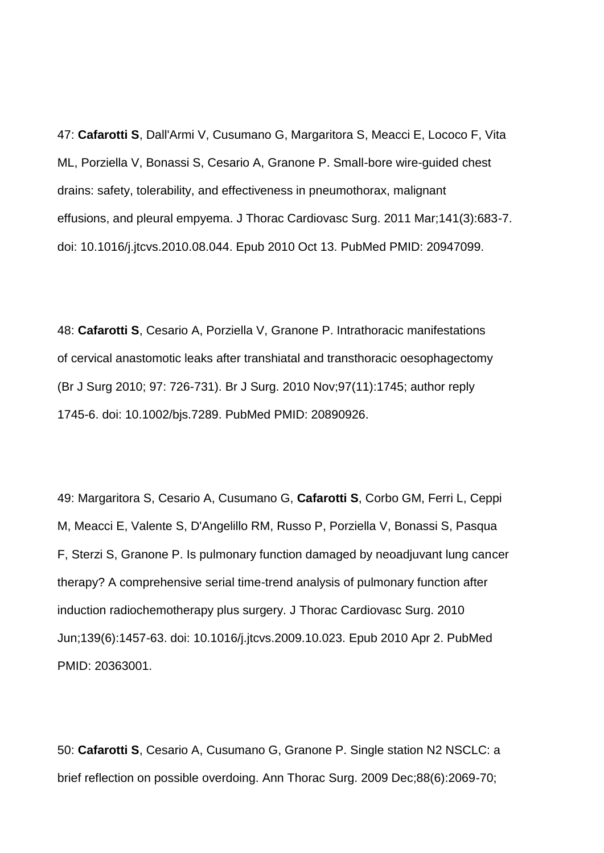47: **Cafarotti S**, Dall'Armi V, Cusumano G, Margaritora S, Meacci E, Lococo F, Vita ML, Porziella V, Bonassi S, Cesario A, Granone P. Small-bore wire-guided chest drains: safety, tolerability, and effectiveness in pneumothorax, malignant effusions, and pleural empyema. J Thorac Cardiovasc Surg. 2011 Mar;141(3):683-7. doi: 10.1016/j.jtcvs.2010.08.044. Epub 2010 Oct 13. PubMed PMID: 20947099.

48: **Cafarotti S**, Cesario A, Porziella V, Granone P. Intrathoracic manifestations of cervical anastomotic leaks after transhiatal and transthoracic oesophagectomy (Br J Surg 2010; 97: 726-731). Br J Surg. 2010 Nov;97(11):1745; author reply 1745-6. doi: 10.1002/bjs.7289. PubMed PMID: 20890926.

49: Margaritora S, Cesario A, Cusumano G, **Cafarotti S**, Corbo GM, Ferri L, Ceppi M, Meacci E, Valente S, D'Angelillo RM, Russo P, Porziella V, Bonassi S, Pasqua F, Sterzi S, Granone P. Is pulmonary function damaged by neoadjuvant lung cancer therapy? A comprehensive serial time-trend analysis of pulmonary function after induction radiochemotherapy plus surgery. J Thorac Cardiovasc Surg. 2010 Jun;139(6):1457-63. doi: 10.1016/j.jtcvs.2009.10.023. Epub 2010 Apr 2. PubMed PMID: 20363001.

50: **Cafarotti S**, Cesario A, Cusumano G, Granone P. Single station N2 NSCLC: a brief reflection on possible overdoing. Ann Thorac Surg. 2009 Dec;88(6):2069-70;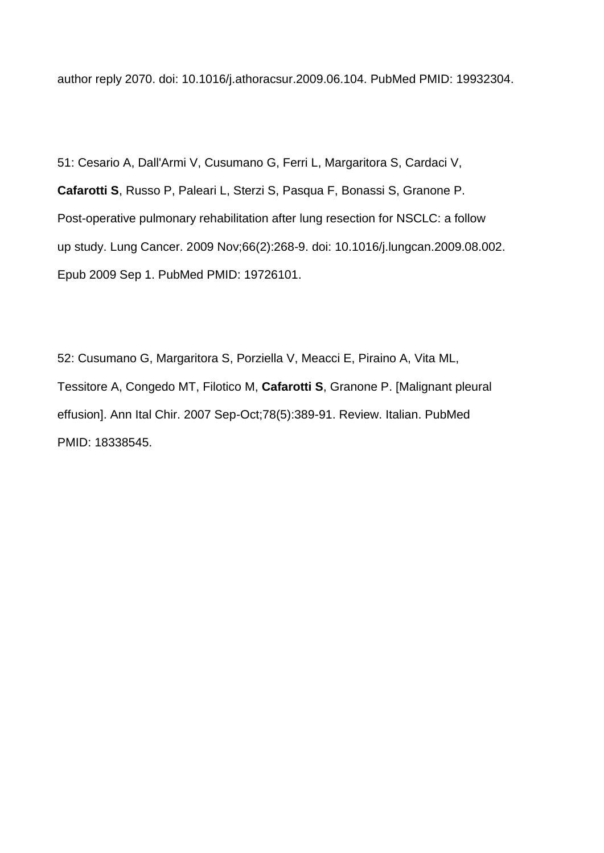author reply 2070. doi: 10.1016/j.athoracsur.2009.06.104. PubMed PMID: 19932304.

51: Cesario A, Dall'Armi V, Cusumano G, Ferri L, Margaritora S, Cardaci V, **Cafarotti S**, Russo P, Paleari L, Sterzi S, Pasqua F, Bonassi S, Granone P. Post-operative pulmonary rehabilitation after lung resection for NSCLC: a follow up study. Lung Cancer. 2009 Nov;66(2):268-9. doi: 10.1016/j.lungcan.2009.08.002. Epub 2009 Sep 1. PubMed PMID: 19726101.

52: Cusumano G, Margaritora S, Porziella V, Meacci E, Piraino A, Vita ML, Tessitore A, Congedo MT, Filotico M, **Cafarotti S**, Granone P. [Malignant pleural effusion]. Ann Ital Chir. 2007 Sep-Oct;78(5):389-91. Review. Italian. PubMed PMID: 18338545.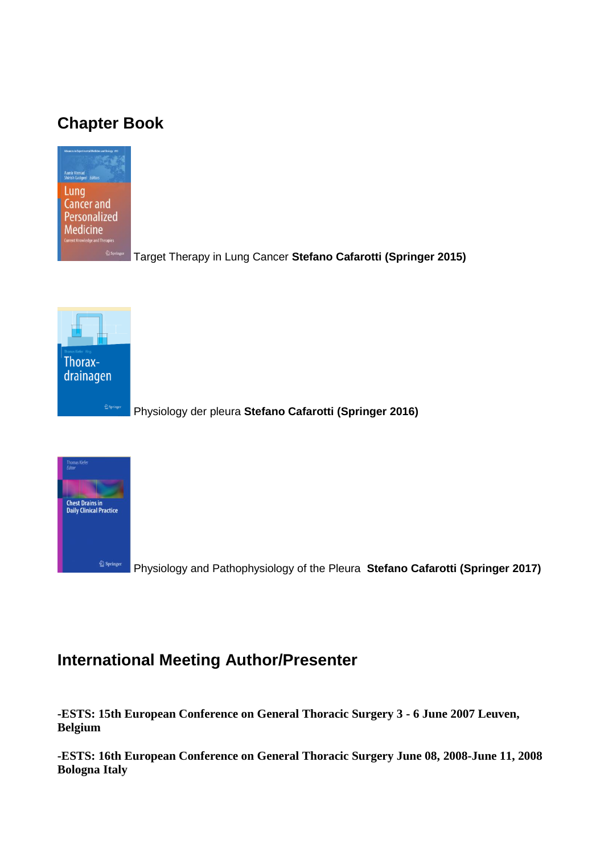# **Chapter Book**



Target Therapy in Lung Cancer **Stefano Cafarotti (Springer 2015)**



Physiology der pleura **Stefano Cafarotti (Springer 2016)**



Physiology and Pathophysiology of the Pleura **Stefano Cafarotti (Springer 2017)**

## **International Meeting Author/Presenter**

**-ESTS: 15th European Conference on General Thoracic Surgery 3 - 6 June 2007 Leuven, Belgium**

**-ESTS: 16th European Conference on General Thoracic Surgery June 08, 2008-June 11, 2008 Bologna Italy**